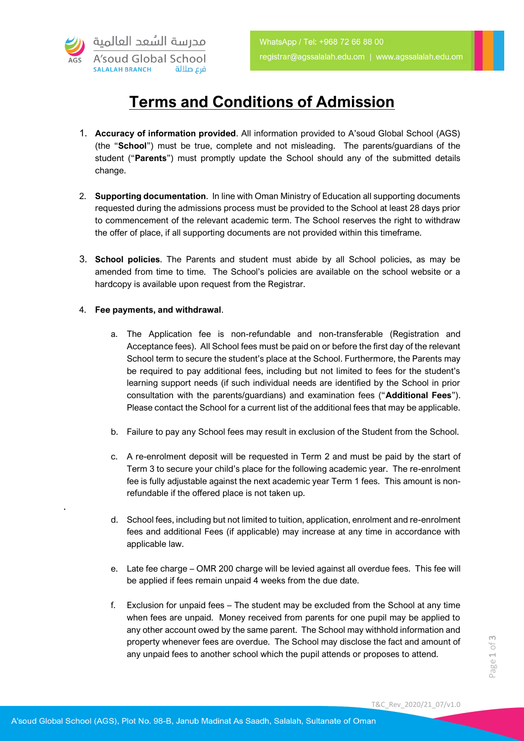

## **Terms and Conditions of Admission**

- 1. **Accuracy of information provided**. All information provided to A'soud Global School (AGS) (the "**School**") must be true, complete and not misleading. The parents/guardians of the student ("**Parents**") must promptly update the School should any of the submitted details change.
- 2. **Supporting documentation**. In line with Oman Ministry of Education all supporting documents requested during the admissions process must be provided to the School at least 28 days prior to commencement of the relevant academic term. The School reserves the right to withdraw the offer of place, if all supporting documents are not provided within this timeframe.
- 3. **School policies**. The Parents and student must abide by all School policies, as may be amended from time to time. The School's policies are available on the school website or a hardcopy is available upon request from the Registrar.

## 4. **Fee payments, and withdrawal**.

.

- a. The Application fee is non-refundable and non-transferable (Registration and Acceptance fees). All School fees must be paid on or before the first day of the relevant School term to secure the student's place at the School. Furthermore, the Parents may be required to pay additional fees, including but not limited to fees for the student's learning support needs (if such individual needs are identified by the School in prior consultation with the parents/guardians) and examination fees ("**Additional Fees**"). Please contact the School for a current list of the additional fees that may be applicable.
- b. Failure to pay any School fees may result in exclusion of the Student from the School.
- c. A re-enrolment deposit will be requested in Term 2 and must be paid by the start of Term 3 to secure your child's place for the following academic year. The re-enrolment fee is fully adjustable against the next academic year Term 1 fees. This amount is nonrefundable if the offered place is not taken up.
- d. School fees, including but not limited to tuition, application, enrolment and re-enrolment fees and additional Fees (if applicable) may increase at any time in accordance with applicable law.
- e. Late fee charge OMR 200 charge will be levied against all overdue fees. This fee will be applied if fees remain unpaid 4 weeks from the due date.
- f. Exclusion for unpaid fees The student may be excluded from the School at any time when fees are unpaid. Money received from parents for one pupil may be applied to any other account owed by the same parent. The School may withhold information and property whenever fees are overdue. The School may disclose the fact and amount of any unpaid fees to another school which the pupil attends or proposes to attend.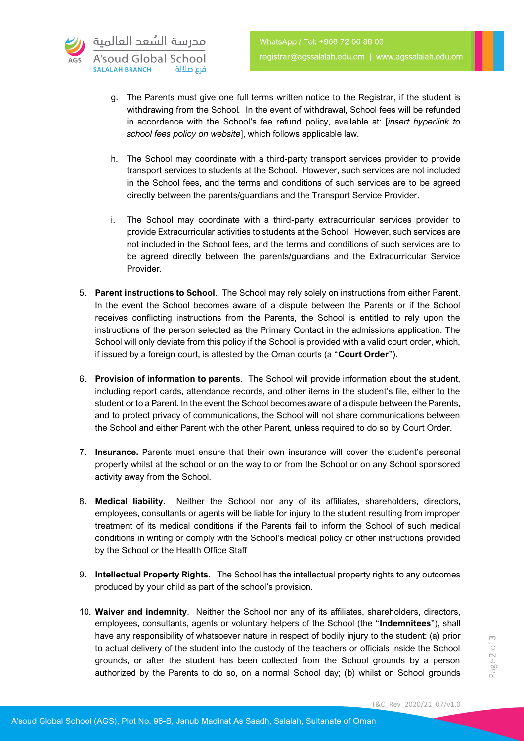- g. The Parents must give one full terms written notice to the Registrar, if the student is withdrawing from the School*.* In the event of withdrawal, School fees will be refunded in accordance with the School's fee refund policy, available at: [*insert hyperlink to school fees policy on website*], which follows applicable law.
- h. The School may coordinate with a third-party transport services provider to provide transport services to students at the School. However, such services are not included in the School fees, and the terms and conditions of such services are to be agreed directly between the parents/guardians and the Transport Service Provider.
- i. The School may coordinate with a third-party extracurricular services provider to provide Extracurricular activities to students at the School. However, such services are not included in the School fees, and the terms and conditions of such services are to be agreed directly between the parents/guardians and the Extracurricular Service Provider.
- 5. **Parent instructions to School**. The School may rely solely on instructions from either Parent. In the event the School becomes aware of a dispute between the Parents or if the School receives conflicting instructions from the Parents, the School is entitled to rely upon the instructions of the person selected as the Primary Contact in the admissions application. The School will only deviate from this policy if the School is provided with a valid court order, which, if issued by a foreign court, is attested by the Oman courts (a "**Court Order**").
- 6. **Provision of information to parents**. The School will provide information about the student, including report cards, attendance records, and other items in the student's file, either to the student or to a Parent. In the event the School becomes aware of a dispute between the Parents, and to protect privacy of communications, the School will not share communications between the School and either Parent with the other Parent, unless required to do so by Court Order.
- 7. **Insurance.** Parents must ensure that their own insurance will cover the student's personal property whilst at the school or on the way to or from the School or on any School sponsored activity away from the School.
- 8. **Medical liability.** Neither the School nor any of its affiliates, shareholders, directors, employees, consultants or agents will be liable for injury to the student resulting from improper treatment of its medical conditions if the Parents fail to inform the School of such medical conditions in writing or comply with the School's medical policy or other instructions provided by the School or the Health Office Staff
- 9. **Intellectual Property Rights**. The School has the intellectual property rights to any outcomes produced by your child as part of the school's provision.
- 10. **Waiver and indemnity**. Neither the School nor any of its affiliates, shareholders, directors, employees, consultants, agents or voluntary helpers of the School (the "**Indemnitees**"), shall have any responsibility of whatsoever nature in respect of bodily injury to the student: (a) prior to actual delivery of the student into the custody of the teachers or officials inside the School grounds, or after the student has been collected from the School grounds by a person authorized by the Parents to do so, on a normal School day; (b) whilst on School grounds